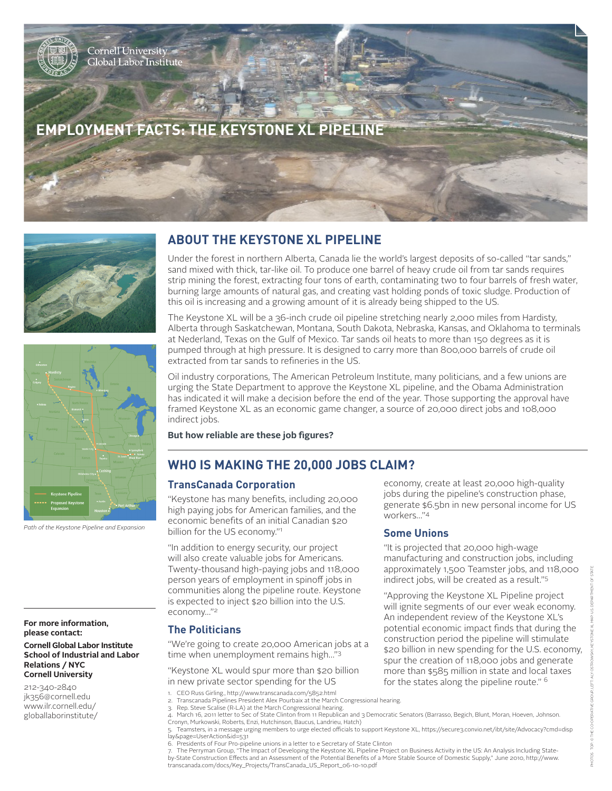# **EMPLOYMENT FACTS: THE KEYSTONE XL PIPELINE**





*Path of the Keystone Pipeline and Expansion*

#### **For more information, please contact:**

**Cornell Global Labor Institute School of Industrial and Labor Relations / NYC Cornell University**

212-340-2840 jk356@cornell.edu www.ilr.cornell.edu/ globallaborinstitute/

### **ABOUT THE KEYSTONE XL PIPELINE**

Under the forest in northern Alberta, Canada lie the world's largest deposits of so-called "tar sands," sand mixed with thick, tar-like oil. To produce one barrel of heavy crude oil from tar sands requires strip mining the forest, extracting four tons of earth, contaminating two to four barrels of fresh water, burning large amounts of natural gas, and creating vast holding ponds of toxic sludge. Production of this oil is increasing and a growing amount of it is already being shipped to the US.

The Keystone XL will be a 36-inch crude oil pipeline stretching nearly 2,000 miles from Hardisty, Alberta through Saskatchewan, Montana, South Dakota, Nebraska, Kansas, and Oklahoma to terminals at Nederland, Texas on the Gulf of Mexico. Tar sands oil heats to more than 150 degrees as it is pumped through at high pressure. It is designed to carry more than 800,000 barrels of crude oil extracted from tar sands to refineries in the US.

Oil industry corporations, The American Petroleum Institute, many politicians, and a few unions are urging the State Department to approve the Keystone XL pipeline, and the Obama Administration has indicated it will make a decision before the end of the year. Those supporting the approval have framed Keystone XL as an economic game changer, a source of 20,000 direct jobs and 108,000 indirect jobs.

**But how reliable are these job figures?**

## **WHO IS MAKING THE 20,000 JOBS CLAIM?**

#### **TransCanada Corporation**

"Keystone has many benefits, including 20,000 high paying jobs for American families, and the economic benefits of an initial Canadian \$20 billion for the US economy."1

"In addition to energy security, our project will also create valuable jobs for Americans. Twenty-thousand high-paying jobs and 118,000 person years of employment in spinoff jobs in communities along the pipeline route. Keystone is expected to inject \$20 billion into the U.S. economy…"2

#### **The Politicians**

"We're going to create 20,000 American jobs at a time when unemployment remains high…"3

"Keystone XL would spur more than \$20 billion in new private sector spending for the US

- 
- 3. Rep. Steve Scalise (R-LA) at the March Congressional hearing.<br>4. March 16, 2011 letter to Sec of State Clinton from 11 Republican and 3 Democratic Senators (Barrasso, Begich, Blunt, Moran, Hoeven, Johnson. Cronyn, Murkowski, Roberts, Enzi, Hutchinson, Baucus, Landrieu, Hatch)

6. Presidents of Four Pro-pipeline unions in a letter to e Secretary of State Clinton

7. The Perryman Group, "The Impact of Developing the Keystone XL Pipeline Project on Business Activity in the US: An Analysis Including Stateby-State Construction Effects and an Assessment of the Potential Benefits of a More Stable Source of Domestic Supply," June 2010, http://www. transcanada.com/docs/Key\_Projects/TransCanada\_US\_Report\_06-10-10.pdf

economy, create at least 20,000 high-quality jobs during the pipeline's construction phase, generate \$6.5bn in new personal income for US workers…"4

#### **Some Unions**

"It is projected that 20,000 high-wage manufacturing and construction jobs, including approximately 1,500 Teamster jobs, and 118,000 indirect jobs, will be created as a result."5

"Approving the Keystone XL Pipeline project will ignite segments of our ever weak economy. An independent review of the Keystone XL's potential economic impact finds that during the construction period the pipeline will stimulate \$20 billion in new spending for the U.S. economy, spur the creation of 118,000 jobs and generate more than \$585 million in state and local taxes for the states along the pipeline route." 6

<sup>1.</sup> CEO Russ Girling., http://www.transcanada.com/5852.html<br>2. Transcanada Pinelines President Alex Pourbaix at the March

<sup>2.</sup> Transcanada Pipelines President Alex Pourbaix at the March Congressional hearing.

<sup>5.</sup> Teamsters, in a message urging members to urge elected officials to support Keystone XL, https://secure3.convio.net/ibt/site/Advocacy?cmd=disp lay&page=UserAction&id=531